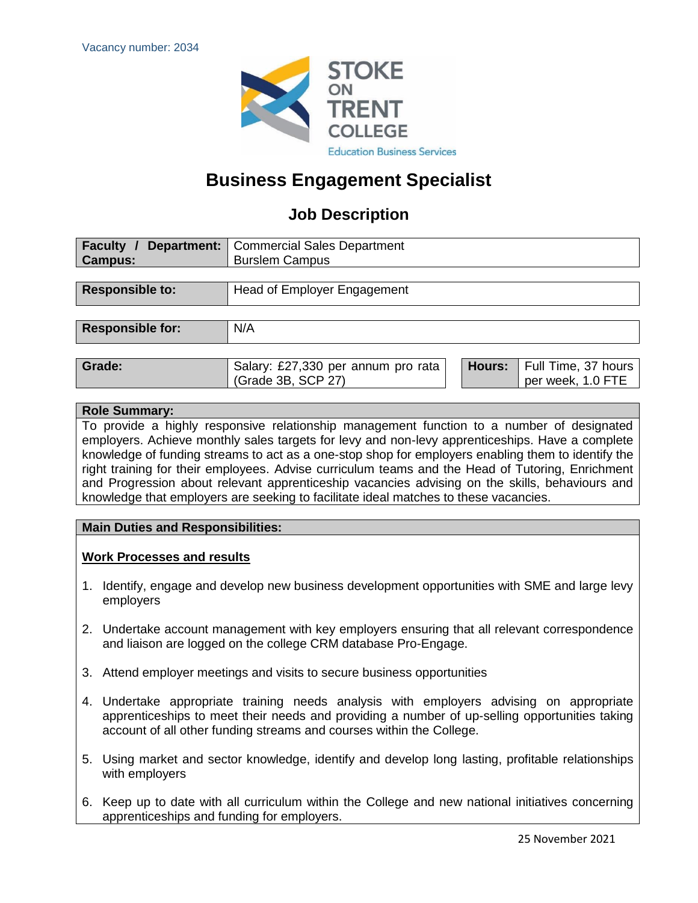

## **Business Engagement Specialist**

### **Job Description**

| <b>Department:</b>   Commercial Sales Department<br><b>Burslem Campus</b> |
|---------------------------------------------------------------------------|
|                                                                           |
| Head of Employer Engagement                                               |
|                                                                           |
| N/A                                                                       |
|                                                                           |

| Grade: | Salary: £27,330 per annum pro rata |  | <b>Hours:</b> Full Time, 37 hours |
|--------|------------------------------------|--|-----------------------------------|
|        | (Grade 3B, SCP 27)                 |  | per week, 1.0 FTE                 |

#### **Role Summary:**

To provide a highly responsive relationship management function to a number of designated employers. Achieve monthly sales targets for levy and non-levy apprenticeships. Have a complete knowledge of funding streams to act as a one-stop shop for employers enabling them to identify the right training for their employees. Advise curriculum teams and the Head of Tutoring, Enrichment and Progression about relevant apprenticeship vacancies advising on the skills, behaviours and knowledge that employers are seeking to facilitate ideal matches to these vacancies.

#### **Main Duties and Responsibilities:**

#### **Work Processes and results**

- 1. Identify, engage and develop new business development opportunities with SME and large levy employers
- 2. Undertake account management with key employers ensuring that all relevant correspondence and liaison are logged on the college CRM database Pro-Engage.
- 3. Attend employer meetings and visits to secure business opportunities
- 4. Undertake appropriate training needs analysis with employers advising on appropriate apprenticeships to meet their needs and providing a number of up-selling opportunities taking account of all other funding streams and courses within the College.
- 5. Using market and sector knowledge, identify and develop long lasting, profitable relationships with employers
- 6. Keep up to date with all curriculum within the College and new national initiatives concerning apprenticeships and funding for employers.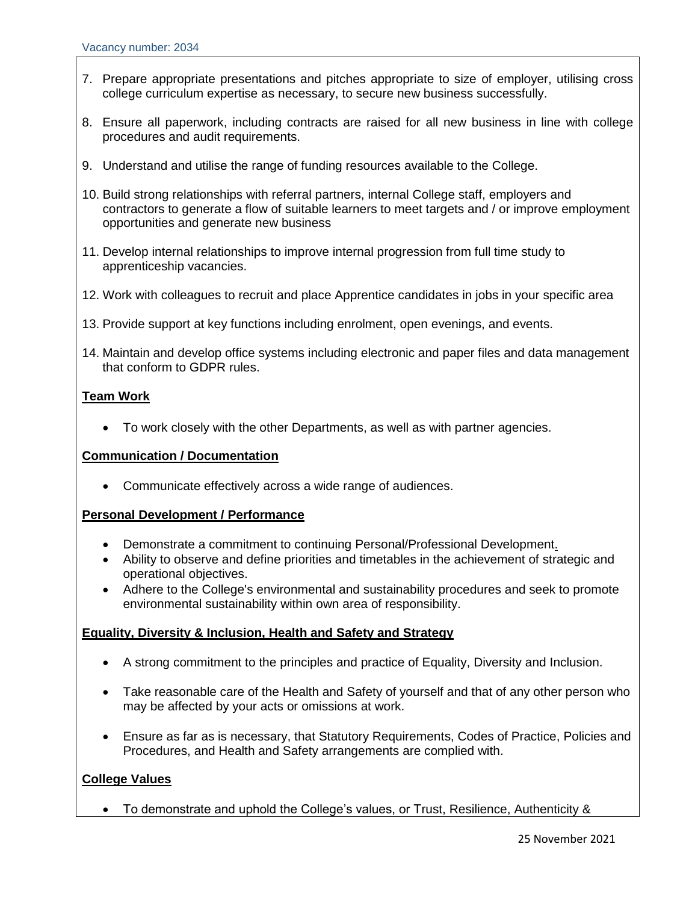- 7. Prepare appropriate presentations and pitches appropriate to size of employer, utilising cross college curriculum expertise as necessary, to secure new business successfully.
- 8. Ensure all paperwork, including contracts are raised for all new business in line with college procedures and audit requirements.
- 9. Understand and utilise the range of funding resources available to the College.
- 10. Build strong relationships with referral partners, internal College staff, employers and contractors to generate a flow of suitable learners to meet targets and / or improve employment opportunities and generate new business
- 11. Develop internal relationships to improve internal progression from full time study to apprenticeship vacancies.
- 12. Work with colleagues to recruit and place Apprentice candidates in jobs in your specific area
- 13. Provide support at key functions including enrolment, open evenings, and events.
- 14. Maintain and develop office systems including electronic and paper files and data management that conform to GDPR rules.

#### **Team Work**

• To work closely with the other Departments, as well as with partner agencies.

#### **Communication / Documentation**

• Communicate effectively across a wide range of audiences.

#### **Personal Development / Performance**

- Demonstrate a commitment to continuing Personal/Professional Development.
- Ability to observe and define priorities and timetables in the achievement of strategic and operational objectives.
- Adhere to the College's environmental and sustainability procedures and seek to promote environmental sustainability within own area of responsibility.

#### **Equality, Diversity & Inclusion, Health and Safety and Strategy**

- A strong commitment to the principles and practice of Equality, Diversity and Inclusion.
- Take reasonable care of the Health and Safety of yourself and that of any other person who may be affected by your acts or omissions at work.
- Ensure as far as is necessary, that Statutory Requirements, Codes of Practice, Policies and Procedures, and Health and Safety arrangements are complied with.

#### **College Values**

• To demonstrate and uphold the College's values, or Trust, Resilience, Authenticity &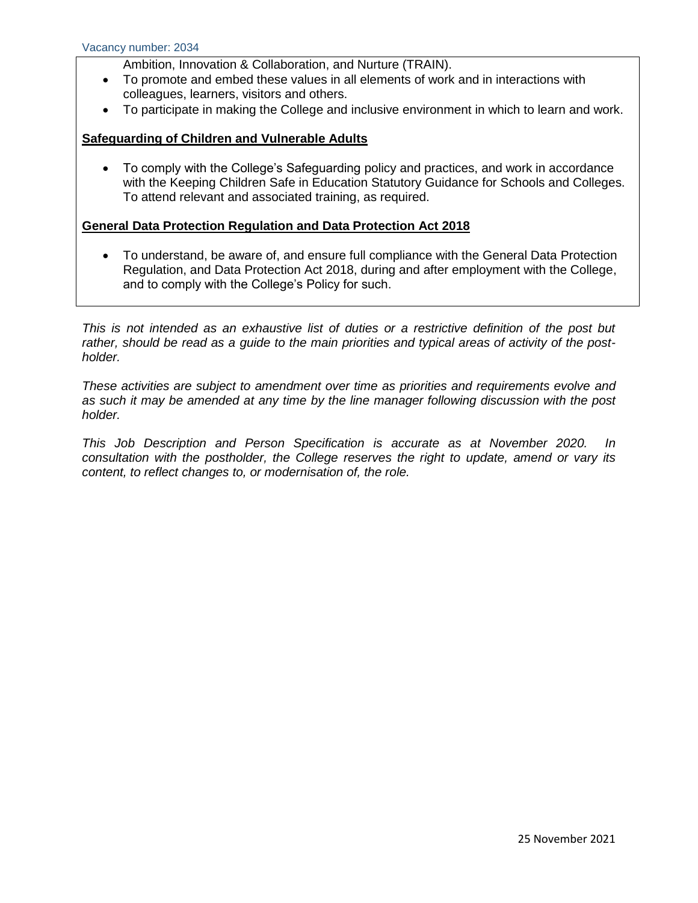- Ambition, Innovation & Collaboration, and Nurture (TRAIN).
- To promote and embed these values in all elements of work and in interactions with colleagues, learners, visitors and others.
- To participate in making the College and inclusive environment in which to learn and work.

#### **Safeguarding of Children and Vulnerable Adults**

• To comply with the College's Safeguarding policy and practices, and work in accordance with the Keeping Children Safe in Education Statutory Guidance for Schools and Colleges. To attend relevant and associated training, as required.

#### **General Data Protection Regulation and Data Protection Act 2018**

• To understand, be aware of, and ensure full compliance with the General Data Protection Regulation, and Data Protection Act 2018, during and after employment with the College, and to comply with the College's Policy for such.

*This is not intended as an exhaustive list of duties or a restrictive definition of the post but rather, should be read as a guide to the main priorities and typical areas of activity of the postholder.*

*These activities are subject to amendment over time as priorities and requirements evolve and as such it may be amended at any time by the line manager following discussion with the post holder.*

*This Job Description and Person Specification is accurate as at November 2020. In consultation with the postholder, the College reserves the right to update, amend or vary its content, to reflect changes to, or modernisation of, the role.*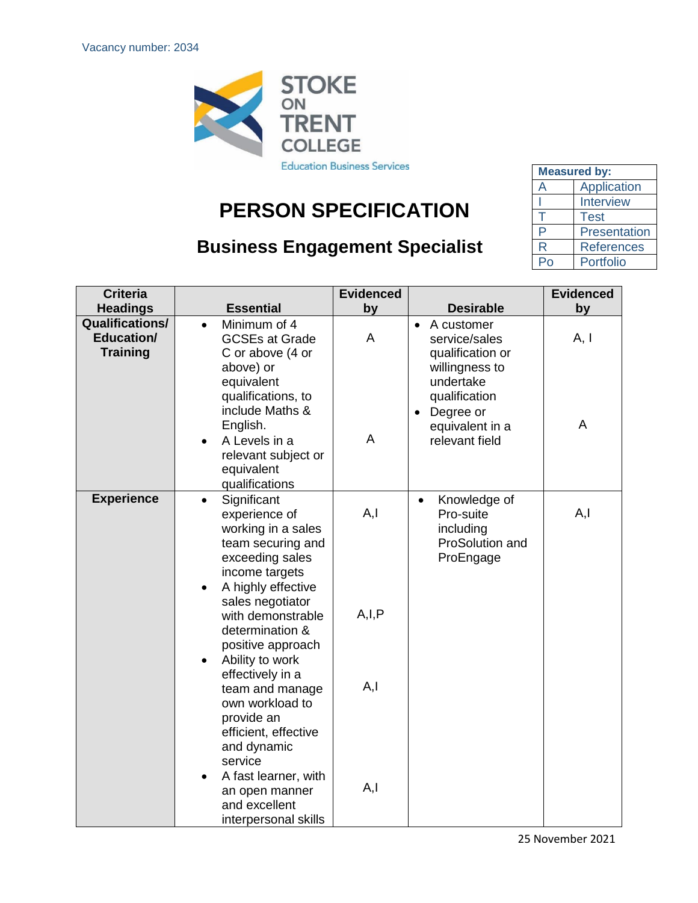

# **PERSON SPECIFICATION**

## **Business Engagement Specialist**

| <b>Measured by:</b> |                   |  |  |
|---------------------|-------------------|--|--|
| $\overline{A}$      | Application       |  |  |
|                     | Interview         |  |  |
|                     | Test              |  |  |
| P                   | Presentation      |  |  |
| R                   | <b>References</b> |  |  |
|                     | Portfolio         |  |  |

| <b>Criteria</b>                                                |                                                                                                                                                                                  | <b>Evidenced</b> |                                                                                             | <b>Evidenced</b> |
|----------------------------------------------------------------|----------------------------------------------------------------------------------------------------------------------------------------------------------------------------------|------------------|---------------------------------------------------------------------------------------------|------------------|
| <b>Headings</b>                                                | <b>Essential</b>                                                                                                                                                                 | by               | <b>Desirable</b>                                                                            | by               |
| <b>Qualifications/</b><br><b>Education/</b><br><b>Training</b> | Minimum of 4<br>$\bullet$<br><b>GCSEs at Grade</b><br>C or above (4 or<br>above) or<br>equivalent                                                                                | A                | A customer<br>$\bullet$<br>service/sales<br>qualification or<br>willingness to<br>undertake | A, I             |
|                                                                | qualifications, to<br>include Maths &<br>English.<br>A Levels in a<br>$\bullet$<br>relevant subject or<br>equivalent<br>qualifications                                           | A                | qualification<br>Degree or<br>$\bullet$<br>equivalent in a<br>relevant field                | A                |
| <b>Experience</b>                                              | Significant<br>$\bullet$<br>experience of<br>working in a sales<br>team securing and<br>exceeding sales<br>income targets<br>A highly effective<br>$\bullet$<br>sales negotiator | A, I             | Knowledge of<br>$\bullet$<br>Pro-suite<br>including<br>ProSolution and<br>ProEngage         | A, I             |
|                                                                | with demonstrable<br>determination &<br>positive approach<br>Ability to work<br>$\bullet$                                                                                        | A, I, P          |                                                                                             |                  |
|                                                                | effectively in a<br>team and manage<br>own workload to<br>provide an<br>efficient, effective<br>and dynamic<br>service                                                           | A, I             |                                                                                             |                  |
|                                                                | A fast learner, with<br>an open manner<br>and excellent<br>interpersonal skills                                                                                                  | A, I             |                                                                                             |                  |

25 November 2021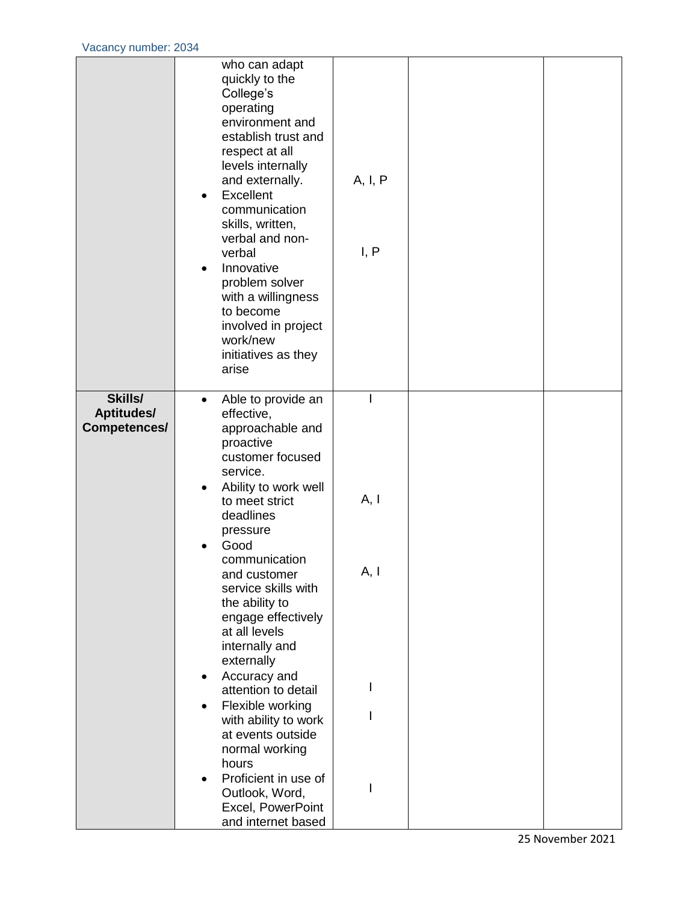|                                       | who can adapt<br>quickly to the<br>College's<br>operating<br>environment and<br>establish trust and<br>respect at all<br>levels internally<br>and externally.<br>Excellent<br>$\bullet$<br>communication<br>skills, written,<br>verbal and non-<br>verbal<br>Innovative<br>$\bullet$<br>problem solver<br>with a willingness<br>to become<br>involved in project<br>work/new<br>initiatives as they<br>arise                                                                                                                                                                                                           | A, I, P<br>I, P |  |
|---------------------------------------|------------------------------------------------------------------------------------------------------------------------------------------------------------------------------------------------------------------------------------------------------------------------------------------------------------------------------------------------------------------------------------------------------------------------------------------------------------------------------------------------------------------------------------------------------------------------------------------------------------------------|-----------------|--|
| Skills/<br>Aptitudes/<br>Competences/ | Able to provide an<br>$\bullet$<br>effective,<br>approachable and<br>proactive<br>customer focused<br>service.<br>Ability to work well<br>$\bullet$<br>to meet strict<br>deadlines<br>pressure<br>Good<br>communication<br>and customer<br>service skills with<br>the ability to<br>engage effectively<br>at all levels<br>internally and<br>externally<br>Accuracy and<br>$\bullet$<br>attention to detail<br>Flexible working<br>$\bullet$<br>with ability to work<br>at events outside<br>normal working<br>hours<br>Proficient in use of<br>$\bullet$<br>Outlook, Word,<br>Excel, PowerPoint<br>and internet based | A, I<br>A, I    |  |